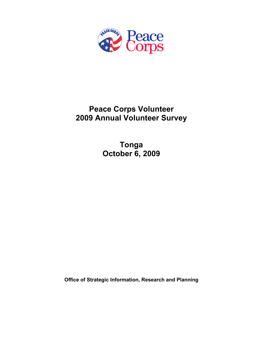

# **Peace Corps Volunteer 2009 Annual Volunteer Survey**

**Tonga October 6, 2009** 

**Office of Strategic Information, Research and Planning**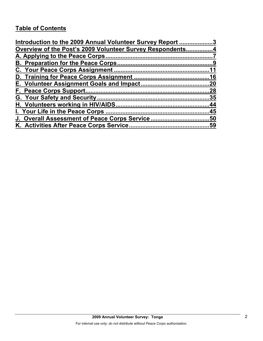## **Table of Contents**

| Introduction to the 2009 Annual Volunteer Survey Report 3 |  |
|-----------------------------------------------------------|--|
| Overview of the Post's 2009 Volunteer Survey Respondents4 |  |
|                                                           |  |
|                                                           |  |
|                                                           |  |
|                                                           |  |
|                                                           |  |
|                                                           |  |
|                                                           |  |
|                                                           |  |
|                                                           |  |
|                                                           |  |
|                                                           |  |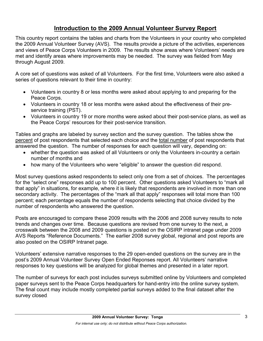## **Introduction to the 2009 Annual Volunteer Survey Report**

This country report contains the tables and charts from the Volunteers in your country who completed the 2009 Annual Volunteer Survey (AVS). The results provide a picture of the activities, experiences and views of Peace Corps Volunteers in 2009. The results show areas where Volunteers' needs are met and identify areas where improvements may be needed. The survey was fielded from May through August 2009.

A core set of questions was asked of all Volunteers. For the first time, Volunteers were also asked a series of questions relevant to their time in country:

- Volunteers in country 8 or less months were asked about applying to and preparing for the Peace Corps.
- Volunteers in country 18 or less months were asked about the effectiveness of their preservice training (PST).
- Volunteers in country 19 or more months were asked about their post-service plans, as well as the Peace Corps' resources for their post-service transition.

Tables and graphs are labeled by survey section and the survey question. The tables show the percent of post respondents that selected each choice and the total number of post respondents that answered the question. The number of responses for each question will vary, depending on:

- whether the question was asked of all Volunteers or only the Volunteers in-country a certain number of months and
- how many of the Volunteers who were "eligible" to answer the question did respond.

Most survey questions asked respondents to select only one from a set of choices. The percentages for the "select one" responses add up to 100 percent. Other questions asked Volunteers to "mark all that apply" in situations, for example, where it is likely that respondents are involved in more than one secondary activity. The percentages of the "mark all that apply" responses will total more than 100 percent; each percentage equals the number of respondents selecting that choice divided by the number of respondents who answered the question.

Posts are encouraged to compare these 2009 results with the 2006 and 2008 survey results to note trends and changes over time. Because questions are revised from one survey to the next, a crosswalk between the 2008 and 2009 questions is posted on the OSIRP intranet page under 2009 AVS Reports "Reference Documents." The earlier 2008 survey global, regional and post reports are also posted on the OSIRP Intranet page.

Volunteers' extensive narrative responses to the 29 open-ended questions on the survey are in the post's 2009 Annual Volunteer Survey Open Ended Reponses report. All Volunteers' narrative responses to key questions will be analyzed for global themes and presented in a later report.

The number of surveys for each post includes surveys submitted online by Volunteers and completed paper surveys sent to the Peace Corps headquarters for hand-entry into the online survey system. The final count may include mostly completed partial surveys added to the final dataset after the survey closed.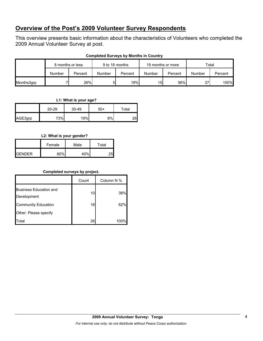## **Overview of the Post's 2009 Volunteer Survey Respondents**

This overview presents basic information about the characteristics of Volunteers who completed the 2009 Annual Volunteer Survey at post.

|            | 8 months or less |         | 9 to 18 months |         | 19 months or more |         | Total  |         |
|------------|------------------|---------|----------------|---------|-------------------|---------|--------|---------|
|            | Number           | Percent | <b>Number</b>  | Percent | Number            | Percent | Number | Percent |
| Months3grp |                  | 26%     | 5              | 19%     | 15                | 56%     | 27     | 100%    |

#### **Completed Surveys by Months in Country**

#### **L1: What is your age?**

|         | 20-29 | 30-49 | $50+$ | Total |
|---------|-------|-------|-------|-------|
| AGE3grp | 73%   | 19%   | 8%    | 26    |

#### **L2: What is your gender?**

|               | Female | Male | Total |
|---------------|--------|------|-------|
| <b>GENDER</b> | 60%    | 40%  | 25    |

#### **Completed surveys by project.**

|                                              | Count           | Column N % |
|----------------------------------------------|-----------------|------------|
| <b>Business Education and</b><br>Development | 10 <sup>1</sup> | 38%        |
| <b>Community Education</b>                   | 16              | 62%        |
| Other. Please specify                        |                 |            |
| otal <sup>.</sup>                            | 26              | 100%       |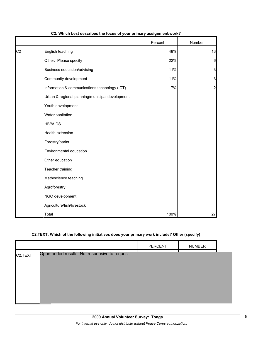|                |                                                 | Percent | Number         |
|----------------|-------------------------------------------------|---------|----------------|
| C <sub>2</sub> | English teaching                                | 48%     | 13             |
|                | Other: Please specify                           | 22%     | 6              |
|                | Business education/advising                     | 11%     | 3              |
|                | Community development                           | 11%     | 3              |
|                | Information & communications technology (ICT)   | 7%      | $\overline{2}$ |
|                | Urban & regional planning/municipal development |         |                |
|                | Youth development                               |         |                |
|                | Water sanitation                                |         |                |
|                | <b>HIV/AIDS</b>                                 |         |                |
|                | Health extension                                |         |                |
|                | Forestry/parks                                  |         |                |
|                | Environmental education                         |         |                |
|                | Other education                                 |         |                |
|                | Teacher training                                |         |                |
|                | Math/science teaching                           |         |                |
|                | Agroforestry                                    |         |                |
|                | NGO development                                 |         |                |
|                | Agriculture/fish/livestock                      |         |                |
|                | Total                                           | 100%    | 27             |

#### **C2: Which best describes the focus of your primary assignment/work?**

#### **C2.TEXT: Which of the following initiatives does your primary work include? Other (specify)**

|                      |                                                | PERCENT | <b>NUMBER</b> |  |
|----------------------|------------------------------------------------|---------|---------------|--|
| C <sub>2</sub> .TEXT | Open-ended results. Not responsive to request. |         |               |  |
|                      |                                                |         |               |  |
|                      |                                                |         |               |  |
|                      |                                                |         |               |  |
|                      |                                                |         |               |  |
|                      |                                                |         |               |  |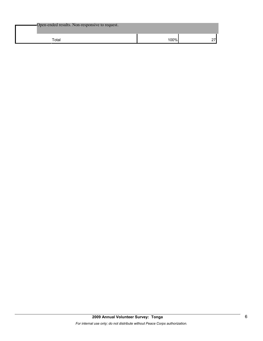| Open-ended results. Non-responsive to request. |      |  |
|------------------------------------------------|------|--|
| Total                                          | ነበበ% |  |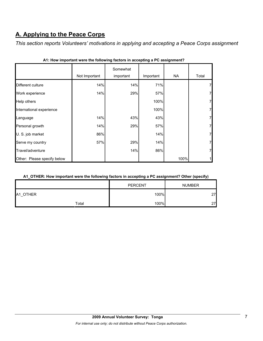## **A. Applying to the Peace Corps**

*This section reports Volunteers' motivations in applying and accepting a Peace Corps assignment* 

|                             | Not Important | Somewhat<br>important | Important | <b>NA</b> | Total |
|-----------------------------|---------------|-----------------------|-----------|-----------|-------|
| Different culture           | 14%           | 14%                   | 71%       |           | 7     |
| Work experience             | 14%           | 29%                   | 57%       |           | 7     |
| Help others                 |               |                       | 100%      |           | 7     |
| International experience    |               |                       | 100%      |           | 7     |
| Language                    | 14%           | 43%                   | 43%       |           | 7     |
| Personal growth             | 14%           | 29%                   | 57%       |           | 7     |
| U. S. job market            | 86%           |                       | 14%       |           | 7     |
| Serve my country            | 57%           | 29%                   | 14%       |           | 7     |
| Travel/adventure            |               | 14%                   | 86%       |           | 7     |
| Other: Please specify below |               |                       |           | 100%      |       |

|  |  | A1: How important were the following factors in accepting a PC assignment? |  |  |  |  |
|--|--|----------------------------------------------------------------------------|--|--|--|--|
|--|--|----------------------------------------------------------------------------|--|--|--|--|

#### **A1\_OTHER: How important were the following factors in accepting a PC assignment? Other (specify)**

|                                |       | <b>PERCENT</b> | <b>NUMBER</b> |
|--------------------------------|-------|----------------|---------------|
| A <sub>1</sub><br><b>OTHER</b> |       | 100%           | 27            |
|                                | Total | 100%           | 27            |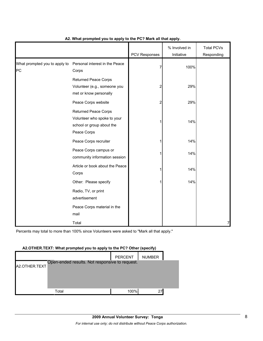|                                     |                                                                                                 | PCV Responses | % Involved in<br>Initiative | <b>Total PCVs</b><br>Responding |
|-------------------------------------|-------------------------------------------------------------------------------------------------|---------------|-----------------------------|---------------------------------|
| What prompted you to apply to<br>PC | Personal interest in the Peace<br>Corps                                                         | 7             | 100%                        |                                 |
|                                     | <b>Returned Peace Corps</b><br>Volunteer (e.g., someone you<br>met or know personally           | 2             | 29%                         |                                 |
|                                     | Peace Corps website                                                                             | 2             | 29%                         |                                 |
|                                     | Returned Peace Corps<br>Volunteer who spoke to your<br>school or group about the<br>Peace Corps |               | 14%                         |                                 |
|                                     | Peace Corps recruiter                                                                           |               | 14%                         |                                 |
|                                     | Peace Corps campus or<br>community information session                                          |               | 14%                         |                                 |
|                                     | Article or book about the Peace<br>Corps                                                        |               | 14%                         |                                 |
|                                     | Other: Please specify                                                                           |               | 14%                         |                                 |
|                                     | Radio, TV, or print<br>advertisement                                                            |               |                             |                                 |
|                                     | Peace Corps material in the<br>mail                                                             |               |                             |                                 |
|                                     | Total                                                                                           |               |                             | 7                               |

#### **A2. What prompted you to apply to the PC? Mark all that apply.**

Percents may total to more than 100% since Volunteers were asked to "Mark all that apply."

#### **A2.OTHER.TEXT: What prompted you to apply to the PC? Other (specify)**

|               |                                                | <b>PERCENT</b> | <b>NUMBER</b> |  |
|---------------|------------------------------------------------|----------------|---------------|--|
| A2.OTHER.TEXT | Open-ended results. Not responsive to request. |                |               |  |
|               |                                                |                |               |  |
|               |                                                |                |               |  |
|               | Total                                          | 100%           | 27            |  |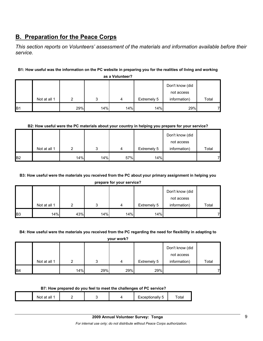## **B. Preparation for the Peace Corps**

*This section reports on Volunteers' assessment of the materials and information available before their service.* 

## **B1: How useful was the information on the PC website in preparing you for the realities of living and working**

|            |              |     |     |     |             | Don't know (did |       |
|------------|--------------|-----|-----|-----|-------------|-----------------|-------|
|            |              |     |     |     |             | not access      |       |
|            | Not at all 1 |     |     | 4   | Extremely 5 | information)    | Total |
| <b>B</b> 1 |              | 29% | 14% | 14% | 14%         | 29%             | 71    |

**as a Volunteer?**

#### **B2: How useful were the PC materials about your country in helping you prepare for your service?**

|                |              |     |     |     |             | Don't know (did |       |
|----------------|--------------|-----|-----|-----|-------------|-----------------|-------|
|                |              |     |     |     |             | not access      |       |
|                | Not at all 1 | ົ   | 3   | 4   | Extremely 5 | information)    | Total |
| B <sub>2</sub> |              | 14% | 14% | 57% | 14%         |                 |       |

## **B3: How useful were the materials you received from the PC about your primary assignment in helping you**

|  |  |  | prepare for your service? |
|--|--|--|---------------------------|
|--|--|--|---------------------------|

|                |              |     |     |     |             | Don't know (did |       |
|----------------|--------------|-----|-----|-----|-------------|-----------------|-------|
|                |              |     |     |     |             | not access      |       |
|                | Not at all 1 |     | ົ   | 4   | Extremely 5 | information)    | Total |
| B <sub>3</sub> | 14%          | 43% | 14% | 14% | 14%         |                 | ⇁     |

#### **B4: How useful were the materials you received from the PC regarding the need for flexibility in adapting to**

**your work?**

|                |              |     |     |     |             | Don't know (did |       |
|----------------|--------------|-----|-----|-----|-------------|-----------------|-------|
|                |              |     |     |     |             | not access      |       |
|                | Not at all 1 | ◠   | ິ   | 4   | Extremely 5 | information)    | Total |
| B <sub>4</sub> |              | 14% | 29% | 29% | 29%         |                 |       |

#### **B7: How prepared do you feel to meet the challenges of PC service?**

| Total<br>Nı<br>an<br>- 1<br>–<br>______ |
|-----------------------------------------|
|-----------------------------------------|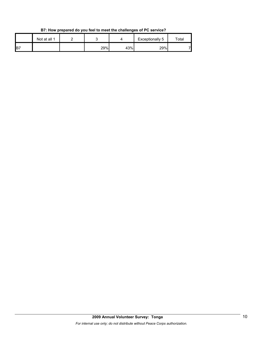|    | Not at all 1 |     |     | Exceptionally 5 | ™otal |
|----|--------------|-----|-----|-----------------|-------|
| B7 |              | 29% | 43% | 29%             | ⇁     |

**B7: How prepared do you feel to meet the challenges of PC service?**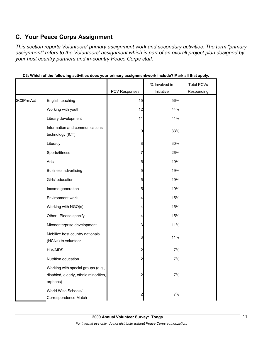## **C. Your Peace Corps Assignment**

*This section reports Volunteers' primary assignment work and secondary activities. The term "primary assignment" refers to the Volunteers' assignment which is part of an overall project plan designed by your host country partners and in-country Peace Corps staff.* 

|            |                                                                                         |                         | % Involved in | <b>Total PCVs</b> |
|------------|-----------------------------------------------------------------------------------------|-------------------------|---------------|-------------------|
|            |                                                                                         | PCV Responses           | Initiative    | Responding        |
| \$C3PrmAct | English teaching                                                                        | 15                      | 56%           |                   |
|            | Working with youth                                                                      | 12                      | 44%           |                   |
|            | Library development                                                                     | 11                      | 41%           |                   |
|            | Information and communications<br>technology (ICT)                                      | 9                       | 33%           |                   |
|            | Literacy                                                                                | 8                       | 30%           |                   |
|            | Sports/fitness                                                                          | 7                       | 26%           |                   |
|            | Arts                                                                                    | 5                       | 19%           |                   |
|            | <b>Business advertising</b>                                                             | 5                       | 19%           |                   |
|            | Girls' education                                                                        | 5                       | 19%           |                   |
|            | Income generation                                                                       | 5                       | 19%           |                   |
|            | Environment work                                                                        | 4                       | 15%           |                   |
|            | Working with NGO(s)                                                                     | 4                       | 15%           |                   |
|            | Other: Please specify                                                                   | 4                       | 15%           |                   |
|            | Microenterprise development                                                             | 3                       | 11%           |                   |
|            | Mobilize host country nationals<br>(HCNs) to volunteer                                  | 3                       | 11%           |                   |
|            | <b>HIV/AIDS</b>                                                                         | 2                       | 7%            |                   |
|            | Nutrition education                                                                     | $\overline{c}$          | 7%            |                   |
|            | Working with special groups (e.g.,<br>disabled, elderly, ethnic minorities,<br>orphans) | $\overline{\mathbf{c}}$ | 7%            |                   |
|            | World Wise Schools/<br>Correspondence Match                                             | 2                       | 7%            |                   |

**C3: Which of the following activities does your primary assignment/work include? Mark all that apply.**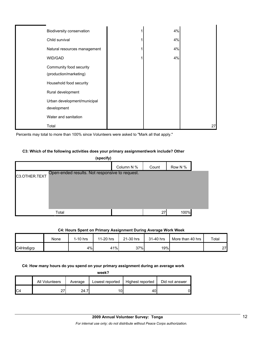| Biodiversity conservation                         | 4% |    |
|---------------------------------------------------|----|----|
| Child survival                                    | 4% |    |
| Natural resources management                      | 4% |    |
| WID/GAD                                           | 4% |    |
| Community food security<br>(production/marketing) |    |    |
| Household food security                           |    |    |
| Rural development                                 |    |    |
| Urban development/municipal<br>development        |    |    |
| Water and sanitation                              |    |    |
| Total                                             |    | 27 |

Percents may total to more than 100% since Volunteers were asked to "Mark all that apply."

#### **C3: Which of the following activities does your primary assignment/work include? Other**

|               | (specify)                                      |            |       |         |  |
|---------------|------------------------------------------------|------------|-------|---------|--|
|               |                                                | Column N % | Count | Row N % |  |
| C3.OTHER.TEXT | Open-ended results. Not responsive to request. |            |       |         |  |
|               | Total                                          |            | 27    | 100%    |  |

#### **C4: Hours Spent on Primary Assignment During Average Work Week**

|           | None | $1-10$ hrs | 11-20 hrs | 21-30 hrs | 31-40 hrs | More than 40 hrs | Total |
|-----------|------|------------|-----------|-----------|-----------|------------------|-------|
| C4Hrs6grp |      | 4%         | 41%       | 37%       | 19%       |                  | 27    |

#### **C4: How many hours do you spend on your primary assignment during an average work**

| week? |                |         |                 |                  |                |  |  |  |
|-------|----------------|---------|-----------------|------------------|----------------|--|--|--|
|       | All Volunteers | Average | Lowest reported | Highest reported | Did not answer |  |  |  |
| C4    | 27             | 24.7    | 10l             | 40               | 0              |  |  |  |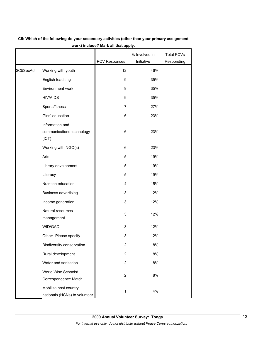|            |                                                        |                         | % Involved in | <b>Total PCVs</b> |
|------------|--------------------------------------------------------|-------------------------|---------------|-------------------|
|            |                                                        | PCV Responses           | Initiative    | Responding        |
| \$C5SecAct | Working with youth                                     | 12                      | 46%           |                   |
|            | English teaching                                       | 9                       | 35%           |                   |
|            | Environment work                                       | 9                       | 35%           |                   |
|            | <b>HIV/AIDS</b>                                        | 9                       | 35%           |                   |
|            | Sports/fitness                                         | 7                       | 27%           |                   |
|            | Girls' education                                       | 6                       | 23%           |                   |
|            | Information and<br>communications technology<br>(ICT)  | 6                       | 23%           |                   |
|            | Working with NGO(s)                                    | 6                       | 23%           |                   |
|            | Arts                                                   | 5                       | 19%           |                   |
|            | Library development                                    | 5                       | 19%           |                   |
|            | Literacy                                               | 5                       | 19%           |                   |
|            | Nutrition education                                    | 4                       | 15%           |                   |
|            | Business advertising                                   | 3                       | 12%           |                   |
|            | Income generation                                      | 3                       | 12%           |                   |
|            | Natural resources<br>management                        | 3                       | 12%           |                   |
|            | WID/GAD                                                | 3                       | 12%           |                   |
|            | Other: Please specify                                  | 3                       | 12%           |                   |
|            | Biodiversity conservation                              | 2                       | 8%            |                   |
|            | Rural development                                      | 2                       | 8%            |                   |
|            | Water and sanitation                                   | $\overline{c}$          | 8%            |                   |
|            | World Wise Schools/<br>Correspondence Match            | $\overline{\mathbf{c}}$ | $8\%$         |                   |
|            | Mobilize host country<br>nationals (HCNs) to volunteer | 1                       | 4%            |                   |

## **C5: Which of the following do your secondary activities (other than your primary assignment work) include? Mark all that apply.**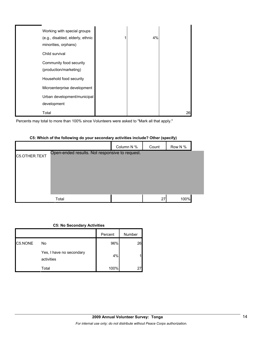| Working with special groups<br>(e.g., disabled, elderly, ethnic<br>minorities, orphans) | 4% |    |
|-----------------------------------------------------------------------------------------|----|----|
| Child survival                                                                          |    |    |
| Community food security<br>(production/marketing)                                       |    |    |
| Household food security                                                                 |    |    |
| Microenterprise development                                                             |    |    |
| Urban development/municipal                                                             |    |    |
| development                                                                             |    |    |
| Total                                                                                   |    | 26 |

 $\blacksquare$ 

Percents may total to more than 100% since Volunteers were asked to "Mark all that apply."

|               |                                                |            | . .   | . .     |  |
|---------------|------------------------------------------------|------------|-------|---------|--|
|               |                                                | Column N % | Count | Row N % |  |
| C5.OTHER.TEXT | Open-ended results. Not responsive to request. |            |       |         |  |
|               |                                                |            |       |         |  |
|               |                                                |            |       |         |  |
|               |                                                |            |       |         |  |
|               |                                                |            |       |         |  |
|               | Total                                          |            | 27    | 100%    |  |

#### **C5: Which of the following do your secondary activities include? Other (specify)**

#### **C5: No Secondary Activities**

|         |                                        | Percent | Number |
|---------|----------------------------------------|---------|--------|
| C5.NONE | No                                     | 96%     | 26     |
|         | Yes, I have no secondary<br>activities | 4%      | 1      |
|         | Total                                  | 100%    | 27     |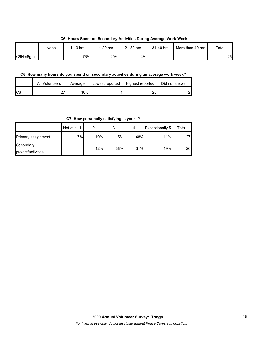|           |      |          |           |           | . .       |                  |       |
|-----------|------|----------|-----------|-----------|-----------|------------------|-------|
|           | None | 1-10 hrs | 11-20 hrs | 21-30 hrs | 31-40 hrs | More than 40 hrs | Total |
| C6Hrs6grp |      | 76%      | 20%       | 4%        |           |                  | 25    |

#### **C6: Hours Spent on Secondary Activities During Average Work Week**

## **C6. How many hours do you spend on secondary activities during an average work week?**

|     | <b>All Volunteers</b> | Average | Lowest reported | Highest reported | Did not answer |
|-----|-----------------------|---------|-----------------|------------------|----------------|
| IC6 | ^7<br>، ے             | 10.61   |                 | つに<br>້          | റ              |

**C7: How personally satisfying is your--?**

|                    | Not at all 1 | ◠   | 3   | 4   | <b>Exceptionally 5</b> | Total |
|--------------------|--------------|-----|-----|-----|------------------------|-------|
| Primary assignment | 7%           | 19% | 15% | 48% | 11%                    | 27    |
| Secondary          |              | 12% | 38% | 31% | 19%                    | 26    |
| project/activities |              |     |     |     |                        |       |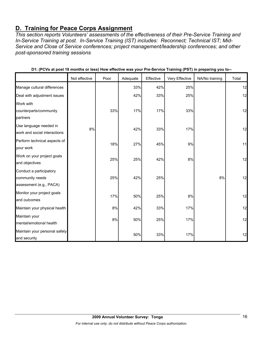## **D. Training for Peace Corps Assignment**

*This section reports Volunteers' assessments of the effectiveness of their Pre-Service Training and In-Service Training at post. In-Service Training (IST) includes: Reconnect; Technical IST; Mid-Service and Close of Service conferences; project management/leadership conferences; and other post-sponsored training sessions.* 

|                                                                       | Not effective | Poor | Adequate | Effective | Very Effective | NA/No training | Total |
|-----------------------------------------------------------------------|---------------|------|----------|-----------|----------------|----------------|-------|
| Manage cultural differences                                           |               |      | 33%      | 42%       | 25%            |                | 12    |
| Deal with adjustment issues                                           |               |      | 42%      | 33%       | 25%            |                | 12    |
| Work with<br>counterparts/community<br>partners                       |               | 33%  | 17%      | 17%       | 33%            |                | 12    |
| Use language needed in<br>work and social interactions                | 8%            |      | 42%      | 33%       | 17%            |                | 12    |
| Perform technical aspects of<br>your work                             |               | 18%  | 27%      | 45%       | 9%             |                | 11    |
| Work on your project goals<br>and objectives                          |               | 25%  | 25%      | 42%       | 8%             |                | 12    |
| Conduct a participatory<br>community needs<br>assessment (e.g., PACA) |               | 25%  | 42%      | 25%       |                | 8%             | 12    |
| Monitor your project goals<br>and outcomes                            |               | 17%  | 50%      | 25%       | 8%             |                | 12    |
| Maintain your physical health                                         |               | 8%   | 42%      | 33%       | 17%            |                | 12    |
| Maintain your<br>mental/emotional health                              |               | 8%   | 50%      | 25%       | 17%            |                | 12    |
| Maintain your personal safety<br>and security                         |               |      | 50%      | 33%       | 17%            |                | 12    |

**D1: (PCVs at post 18 months or less) How effective was your Pre-Service Training (PST) in preparing you to--**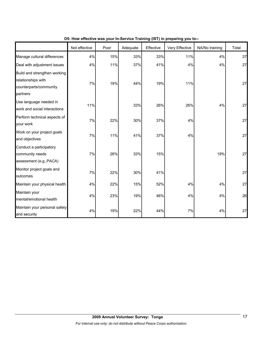|                                                                                          | Not effective | Poor | Adequate | Effective | Very Effective | NA/No training | Total |
|------------------------------------------------------------------------------------------|---------------|------|----------|-----------|----------------|----------------|-------|
| Manage cultural differences                                                              | 4%            | 15%  | 33%      | 33%       | 11%            | 4%             | 27    |
| Deal with adjustment issues                                                              | 4%            | 11%  | 37%      | 41%       | 4%             | 4%             | 27    |
| Build and strengthen working<br>relationships with<br>counterparts/community<br>partners | 7%            | 19%  | 44%      | 19%       | 11%            |                | 27    |
| Use language needed in<br>work and social interactions                                   | 11%           |      | 33%      | 26%       | 26%            | 4%             | 27    |
| Perform technical aspects of<br>your work                                                | 7%            | 22%  | 30%      | 37%       | 4%             |                | 27    |
| Work on your project goals<br>and objectives                                             | 7%            | 11%  | 41%      | 37%       | 4%             |                | 27    |
| Conduct a participatory<br>community needs<br>assessment (e.g., PACA)                    | 7%            | 26%  | 33%      | 15%       |                | 19%            | 27    |
| Monitor project goals and<br>outcomes                                                    | 7%            | 22%  | 30%      | 41%       |                |                | 27    |
| Maintain your physical health                                                            | 4%            | 22%  | 15%      | 52%       | 4%             | 4%             | 27    |
| Maintain your<br>mental/emotional health                                                 | 4%            | 23%  | 19%      | 46%       | 4%             | 4%             | 26    |
| Maintain your personal safety<br>and security                                            | 4%            | 19%  | 22%      | 44%       | $7\%$          | 4%             | 27    |

**D5: How effective was your In-Service Training (IST) in preparing you to--**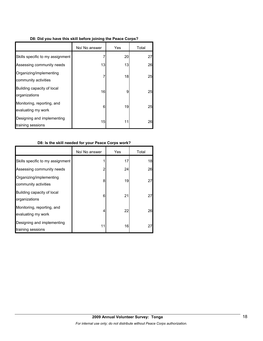## **D8: Did you have this skill before joining the Peace Corps?**

|                                                  | No/ No answer | Yes | Total |
|--------------------------------------------------|---------------|-----|-------|
| Skills specific to my assignment                 |               | 20  | 27    |
| Assessing community needs                        | 13            | 13  | 26    |
| Organizing/implementing<br>community activities  | 7             | 18  | 25    |
| Building capacity of local<br>organizations      | 16            | 9   | 25    |
| Monitoring, reporting, and<br>evaluating my work | 6             | 19  | 25    |
| Designing and implementing<br>training sessions  | 15            | 11  | 26    |

## **D8: Is the skill needed for your Peace Corps work?**

|                                                  | No/ No answer | Yes | Total |
|--------------------------------------------------|---------------|-----|-------|
| Skills specific to my assignment                 |               | 17  | 18    |
| Assessing community needs                        | 2             | 24  | 26    |
| Organizing/implementing<br>community activities  | 8             | 19  | 27    |
| Building capacity of local<br>organizations      | 6             | 21  | 27    |
| Monitoring, reporting, and<br>evaluating my work | 4             | 22  | 26    |
| Designing and implementing<br>training sessions  | 11            | 16  | 27    |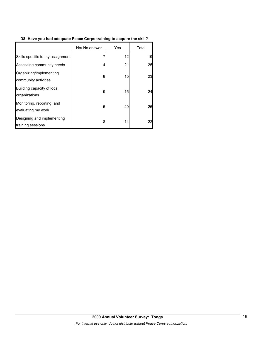## **D8: Have you had adequate Peace Corps training to acquire the skill?**

|                                                  | No/ No answer | Yes | Total |
|--------------------------------------------------|---------------|-----|-------|
| Skills specific to my assignment                 |               | 12  | 19    |
| Assessing community needs                        | 4             | 21  | 25    |
| Organizing/implementing<br>community activities  | 8             | 15  | 23    |
| Building capacity of local<br>organizations      | 9             | 15  | 24    |
| Monitoring, reporting, and<br>evaluating my work | 5             | 20  | 25    |
| Designing and implementing<br>training sessions  | 8             | 14  | 22    |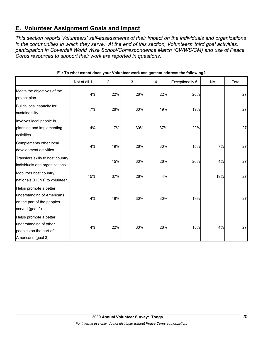## **E. Volunteer Assignment Goals and Impact**

*This section reports Volunteers' self-assessments of their impact on the individuals and organizations in the communities in which they serve. At the end of this section, Volunteers' third goal activities, participation in Coverdell World Wise School/Correspondence Match (CWWS/CM) and use of Peace Corps resources to support their work are reported in questions.* 

|                                                                                                       | Not at all 1 | $\overline{c}$ | 3   | 4   | Exceptionally 5 | <b>NA</b> | Total |
|-------------------------------------------------------------------------------------------------------|--------------|----------------|-----|-----|-----------------|-----------|-------|
| Meets the objectives of the<br>project plan                                                           | 4%           | 22%            | 26% | 22% | 26%             |           | 27    |
| Builds local capacity for<br>sustainability                                                           | 7%           | 26%            | 30% | 19% | 19%             |           | 27    |
| Involves local people in<br>planning and implementing<br>activities                                   | 4%           | 7%             | 30% | 37% | 22%             |           | 27    |
| Complements other local<br>development activities                                                     | 4%           | 19%            | 26% | 30% | 15%             | 7%        | 27    |
| Transfers skills to host country<br>individuals and organizations                                     |              | 15%            | 30% | 26% | 26%             | 4%        | 27    |
| Mobilizes host country<br>nationals (HCNs) to volunteer                                               | 15%          | 37%            | 26% | 4%  |                 | 19%       | 27    |
| Helps promote a better<br>understanding of Americans<br>on the part of the peoples<br>served (goal 2) | 4%           | 19%            | 30% | 30% | 19%             |           | 27    |
| Helps promote a better<br>understanding of other<br>peoples on the part of<br>Americans (goal 3)      | 4%           | 22%            | 30% | 26% | 15%             | 4%        | 27    |

**E1: To what extent does your Volunteer work assignment address the following?**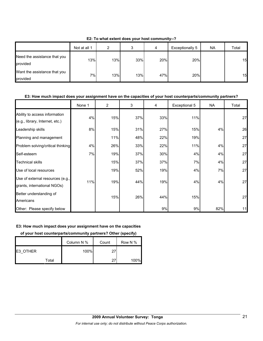|                                          | Not at all 1 | ົ   | ົ<br>J | 4   | Exceptionally 5 | <b>NA</b> | Total |
|------------------------------------------|--------------|-----|--------|-----|-----------------|-----------|-------|
| Need the assistance that you<br>provided | 13%          | 13% | 33%    | 20% | 20%             |           | 15    |
| Want the assistance that you<br>provided | 7%           | 13% | 13%    | 47% | 20%             |           | 15    |

**E2: To what extent does your host community--?**

### **E3: How much impact does your assignment have on the capacities of your host counterparts/community partners?**

|                                                                  | None 1 | $\overline{2}$ | 3   | 4   | Exceptional 5 | <b>NA</b> | Total |
|------------------------------------------------------------------|--------|----------------|-----|-----|---------------|-----------|-------|
| Ability to access information<br>(e.g., library, Internet, etc.) | 4%     | 15%            | 37% | 33% | 11%           |           | 27    |
| Leadership skills                                                | 8%     | 15%            | 31% | 27% | 15%           | 4%        | 26    |
| Planning and management                                          |        | 11%            | 48% | 22% | 19%           |           | 27    |
| Problem solving/critical thinking                                | 4%     | 26%            | 33% | 22% | 11%           | 4%        | 27    |
| Self-esteem                                                      | 7%     | 19%            | 37% | 30% | 4%            | 4%        | 27    |
| <b>Technical skills</b>                                          |        | 15%            | 37% | 37% | 7%            | 4%        | 27    |
| Use of local resources                                           |        | 19%            | 52% | 19% | 4%            | 7%        | 27    |
| Use of external resources (e.g.,<br>grants, international NGOs)  | 11%    | 19%            | 44% | 19% | 4%            | 4%        | 27    |
| Better understanding of<br>Americans                             |        | 15%            | 26% | 44% | 15%           |           | 27    |
| Other: Please specify below                                      |        |                |     | 9%  | 9%            | 82%       | 11    |

#### **E3: How much impact does your assignment have on the capacities**

### **of your host counterparts/community partners? Other (specify)**

|          |       | Column N % | Count | Row N % |
|----------|-------|------------|-------|---------|
| E3 OTHER |       | 100%       | 27    |         |
|          | Total |            | 27    | 100%    |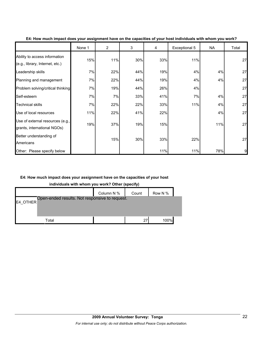|                                                                  | None 1 | $\overline{2}$ | 3   | 4   | Exceptional 5 | NA  | Total |
|------------------------------------------------------------------|--------|----------------|-----|-----|---------------|-----|-------|
| Ability to access information<br>(e.g., library, Internet, etc.) | 15%    | 11%            | 30% | 33% | 11%           |     | 27    |
| Leadership skills                                                | 7%     | 22%            | 44% | 19% | 4%            | 4%  | 27    |
| Planning and management                                          | 7%     | 22%            | 44% | 19% | 4%            | 4%  | 27    |
| Problem solving/critical thinking                                | 7%     | 19%            | 44% | 26% | 4%            |     | 27    |
| Self-esteem                                                      | 7%     | 7%             | 33% | 41% | 7%            | 4%  | 27    |
| <b>Technical skills</b>                                          | 7%     | 22%            | 22% | 33% | 11%           | 4%  | 27    |
| Use of local resources                                           | 11%    | 22%            | 41% | 22% |               | 4%  | 27    |
| Use of external resources (e.g.,<br>grants, international NGOs)  | 19%    | 37%            | 19% | 15% |               | 11% | 27    |
| Better understanding of<br>Americans                             |        | 15%            | 30% | 33% | 22%           |     | 27    |
| Other: Please specify below                                      |        |                |     | 11% | 11%           | 78% | 9     |

#### **E4: How much impact does your assignment have on the capacities of your host individuals with whom you work?**

#### **E4: How much impact does your assignment have on the capacities of your host**

**individuals with whom you work? Other (specify)**

|          |                                                | Column N % | Count | Row N % |  |
|----------|------------------------------------------------|------------|-------|---------|--|
| E4 OTHER | Open-ended results. Not responsive to request. |            |       |         |  |
|          |                                                |            |       |         |  |
|          |                                                |            |       |         |  |
|          | Total                                          |            | 27    | 100%    |  |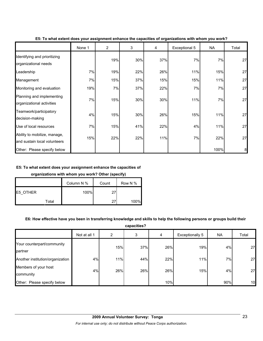|                                                              | None 1 | 2   | 3   | 4   | Exceptional 5 | <b>NA</b> | Total |
|--------------------------------------------------------------|--------|-----|-----|-----|---------------|-----------|-------|
| Identifying and prioritizing<br>organizational needs         |        | 19% | 30% | 37% | 7%            | 7%        | 27    |
| Leadership                                                   | 7%     | 19% | 22% | 26% | 11%           | 15%       | 27    |
| Management                                                   | 7%     | 15% | 37% | 15% | 15%           | 11%       | 27    |
| Monitoring and evaluation                                    | 19%    | 7%  | 37% | 22% | 7%            | 7%        | 27    |
| Planning and implementing<br>organizational activities       | 7%     | 15% | 30% | 30% | 11%           | 7%        | 27    |
| Teamwork/participatory<br>decision-making                    | 4%     | 15% | 30% | 26% | 15%           | 11%       | 27    |
| Use of local resources                                       | 7%     | 15% | 41% | 22% | 4%            | 11%       | 27    |
| Ability to mobilize, manage,<br>and sustain local volunteers | 15%    | 22% | 22% | 11% | 7%            | 22%       | 27    |
| Other: Please specify below                                  |        |     |     |     |               | 100%      | 8     |

#### **E5: To what extent does your assignment enhance the capacities of organizations with whom you work?**

#### **E5: To what extent does your assignment enhance the capacities of**

#### **organizations with whom you work? Other (specify)**

|                 | Column N % | Count | Row N % |
|-----------------|------------|-------|---------|
| <b>E5 OTHER</b> | 100%       | つフ    |         |
| Total           |            | つっ    | 100%    |

#### **E6: How effective have you been in transferring knowledge and skills to help the following persons or groups build their**

**capacities?**

|                                       | Not at all 1 | 2   | 3   | 4   | Exceptionally 5 | <b>NA</b> | Total |
|---------------------------------------|--------------|-----|-----|-----|-----------------|-----------|-------|
| Your counterpart/community<br>partner |              | 15% | 37% | 26% | 19%             | 4%        | 27    |
| Another institution/organization      | 4%           | 11% | 44% | 22% | 11%             | 7%        | 27    |
| Members of your host<br>community     | 4%           | 26% | 26% | 26% | 15%             | 4%        | 27    |
| Other: Please specify below           |              |     |     | 10% |                 | 90%       | 10    |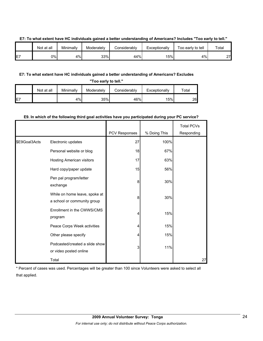|    | Not at all | Minimally | Moderatelv | <b>Considerably</b> | Exceptionally | Too early to tell | Total |
|----|------------|-----------|------------|---------------------|---------------|-------------------|-------|
| E7 | 0%I        | 4%        | 33%        | 44%                 | 15%           | $4\%$             | 27    |

#### **E7: To what extent have HC individuals gained a better understanding of Americans? Includes "Too early to tell."**

### **E7: To what extent have HC individuals gained a better understanding of Americans? Excludes**

| "Too early to tell." |            |           |            |              |               |       |  |  |  |  |
|----------------------|------------|-----------|------------|--------------|---------------|-------|--|--|--|--|
|                      | Not at all | Minimally | Moderately | Considerably | Exceptionally | Total |  |  |  |  |
| E7                   |            | 4%        | 35%        | 46%          | 15%           | 26    |  |  |  |  |

#### **E9. In which of the following third goal activities have you participated during your PC service?**

|               |                                                              | PCV Responses | % Doing This | <b>Total PCVs</b><br>Responding |
|---------------|--------------------------------------------------------------|---------------|--------------|---------------------------------|
| \$E9Goal3Acts | Electronic updates                                           | 27            | 100%         |                                 |
|               | Personal website or blog                                     | 18            | 67%          |                                 |
|               | <b>Hosting American visitors</b>                             | 17            | 63%          |                                 |
|               | Hard copy/paper update                                       | 15            | 56%          |                                 |
|               | Pen pal program/letter<br>exchange                           | 8             | 30%          |                                 |
|               | While on home leave, spoke at<br>a school or community group | 8             | 30%          |                                 |
|               | Enrollment in the CWWS/CMS<br>program                        |               | 15%          |                                 |
|               | Peace Corps Week activities                                  |               | 15%          |                                 |
|               | Other please specify                                         |               | 15%          |                                 |
|               | Podcasted/created a slide show<br>or video posted online     | 3             | 11%          |                                 |
|               | Total                                                        |               |              | 27                              |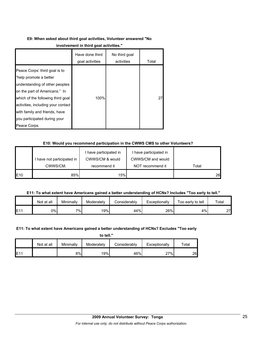## **E9: When asked about third goal activities, Volunteer answered "No**

|                                                                                                                                                                                                                                                                                       | Have done third<br>goal activities | No third goal<br>activities | Total |
|---------------------------------------------------------------------------------------------------------------------------------------------------------------------------------------------------------------------------------------------------------------------------------------|------------------------------------|-----------------------------|-------|
| Peace Corps' third goal is to<br>"help promote a better<br>understanding of other peoples<br>on the part of Americans." In<br>which of the following third goal<br>activities, including your contact<br>with family and friends, have<br>you participated during your<br>Peace Corps | 100%                               |                             | 27    |

## **E10: Would you recommend participation in the CWWS CMS to other Volunteers?**

|                 |                          | have participated in | I have participated in |       |
|-----------------|--------------------------|----------------------|------------------------|-------|
|                 | have not participated in | CWWS/CM & would      | CWWS/CM and would      |       |
|                 | CWWS/CM.                 | recommend it         | NOT recommend it       | Total |
| E <sub>10</sub> | 85%                      | 15%                  |                        | 26    |

## **E11: To what extent have Americans gained a better understanding of HCNs? Includes "Too early to tell."**

|     | Not at all | Minimallv | Moderately       | Considerably | Exceptionally | Too early to tell | $\tau$ otai |
|-----|------------|-----------|------------------|--------------|---------------|-------------------|-------------|
| E11 | 0%l        | 7%        | 19% <sub>I</sub> | 44%          | 26%           | 4%                | 27<br>_     |

## **E11: To what extent have Americans gained a better understanding of HCNs? Excludes "Too early**

**to tell."**

|                 | Not at all | Minimally | Moderately | Considerably | Exceptionally | $\tau$ otal |
|-----------------|------------|-----------|------------|--------------|---------------|-------------|
| E1 <sup>4</sup> |            | 8%        | 19%        | 46%          | 27%           | 26          |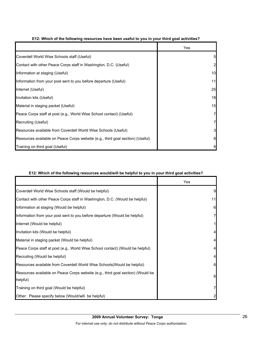|                                                                                | Yes          |
|--------------------------------------------------------------------------------|--------------|
| Coverdell World Wise Schools staff (Useful)                                    | 5            |
| Contact with other Peace Corps staff in Washington, D.C. (Useful)              | $\mathbf{2}$ |
| Information at staging (Useful)                                                | 10           |
| Information from your post sent to you before departure (Useful)               | 11           |
| Internet (Useful)                                                              | 25           |
| Invitation kits (Useful)                                                       | 18           |
| Material in staging packet (Useful)                                            | 15           |
| Peace Corps staff at post (e.g., World Wise School contact) (Useful)           | 71           |
| Recruiting (Useful)                                                            | 71           |
| Resources available from Coverdell World Wise Schools (Useful)                 | 3            |
| Resources available on Peace Corps website (e.g., third goal section) (Useful) | 8            |
| Training on third goal (Useful)                                                | 8            |

#### **E12: Which of the following resources have been useful to you in your third goal activities?**

#### **E12: Which of the following resources would/will be helpful to you in your third goal activities?**

|                                                                                 | Yes |
|---------------------------------------------------------------------------------|-----|
| Coverdell World Wise Schools staff (Would be helpful)                           | 9   |
| Contact with other Peace Corps staff in Washington, D.C. (Would be helpful)     | 11  |
| Information at staging (Would be helpful)                                       | 6   |
| Information from your post sent to you before departure (Would be helpful)      |     |
| Internet (Would be helpful)                                                     |     |
| Invitation kits (Would be helpful)                                              |     |
| Material in staging packet (Would be helpful)                                   |     |
| Peace Corps staff at post (e.g., World Wise School contact) (Would be helpful)  |     |
| Recruiting (Would be helpful)                                                   |     |
| Resources available from Coverdell World Wise Schools (Would be helpful)        | 6   |
| Resources available on Peace Corps website (e.g., third goal section) (Would be | 6   |
| helpful)                                                                        |     |
| Training on third goal (Would be helpful)                                       |     |
| Other: Please specify below (Would/will be helpful)                             |     |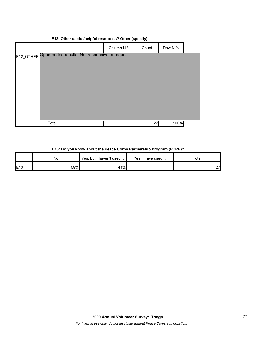|            | . .                                                      |         |    |
|------------|----------------------------------------------------------|---------|----|
| Column N % | Count                                                    | Row N % |    |
|            |                                                          |         |    |
|            |                                                          |         |    |
|            |                                                          |         |    |
|            |                                                          |         |    |
|            |                                                          |         |    |
|            |                                                          |         |    |
|            |                                                          |         |    |
|            |                                                          |         |    |
|            |                                                          | 100%    |    |
|            | E12_OTHER Open-ended results. Not responsive to request. |         | 27 |

#### **E12: Other useful/helpful resources? Other (specify)**

#### **E13: Do you know about the Peace Corps Partnership Program (PCPP)?**

|                 | No  | Yes, but I haven't used it. | Yes, I have used it. | Total |  |
|-----------------|-----|-----------------------------|----------------------|-------|--|
| E <sub>13</sub> | 59% | 41%                         |                      | 27    |  |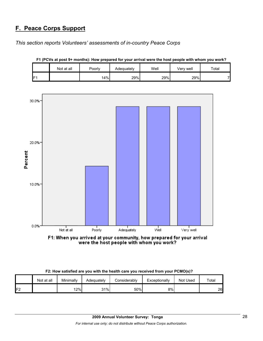## **F. Peace Corps Support**

*This section reports Volunteers' assessments of in-country Peace Corps* 





**F1 (PCVs at post 9+ months): How prepared for your arrival were the host people with whom you work?**

F1: When you arrived at your community, how prepared for your arrival were the host people with whom you work?

|    | Not at all | Minimally | Adequately | Considerably | Exceptionally | Not Used | Total |
|----|------------|-----------|------------|--------------|---------------|----------|-------|
| F2 |            | 12%       | 31%        | 50%          | 8%            |          | 26    |

**F2: How satisfied are you with the health care you received from your PCMO(s)?**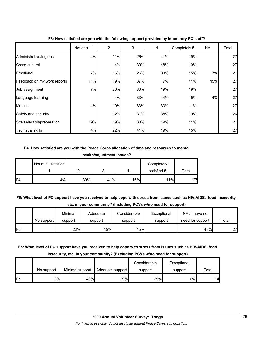|                             | Not at all 1 | $\overline{2}$ | 3   | 4   | Completely 5 | NA  | Total |
|-----------------------------|--------------|----------------|-----|-----|--------------|-----|-------|
| Administrative/logistical   | 4%           | 11%            | 26% | 41% | 19%          |     | 27    |
| Cross-cultural              |              | 4%             | 30% | 48% | 19%          |     | 27    |
| Emotional                   | 7%           | 15%            | 26% | 30% | 15%          | 7%  | 27    |
| Feedback on my work reports | 11%          | 19%            | 37% | 7%  | 11%          | 15% | 27    |
| Job assignment              | 7%           | 26%            | 30% | 19% | 19%          |     | 27    |
| Language learning           |              | 4%             | 33% | 44% | 15%          | 4%  | 27    |
| Medical                     | 4%           | 19%            | 33% | 33% | 11%          |     | 27    |
| Safety and security         |              | 12%            | 31% | 38% | 19%          |     | 26    |
| Site selection/preparation  | 19%          | 19%            | 33% | 19% | 11%          |     | 27    |
| Technical skills            | 4%           | 22%            | 41% | 19% | 15%          |     | 27    |

#### **F3: How satisfied are you with the following support provided by in-country PC staff?**

#### **F4: How satisfied are you with the Peace Corps allocation of time and resources to mental**

| health/adjustment issues? |
|---------------------------|
|---------------------------|

|     | Not at all satisfied |     |     |     | Completely  |       |
|-----|----------------------|-----|-----|-----|-------------|-------|
|     |                      |     |     |     | satisfied 5 | Total |
| IF4 | 4%                   | 30% | 41% | 15% | 11%         | 27    |

## **F5: What level of PC support have you received to help cope with stress from issues such as HIV/AIDS, food insecurity, etc. in your community? (Including PCVs w/no need for support)**

|                | No support | Minimal<br>support | Adequate<br>support | Considerable<br>support | Exceptional<br>support | NA / I have no<br>need for support | Total |
|----------------|------------|--------------------|---------------------|-------------------------|------------------------|------------------------------------|-------|
| F <sub>5</sub> |            | 22%                | 15%                 | 15%                     |                        | 48%                                | 27    |

#### **F5: What level of PC support have you received to help cope with stress from issues such as HIV/AIDS, food**

#### **insecurity, etc. in your community? (Excluding PCVs w/no need for support)**

|     |            |                 |                  | Considerable | Exceptional |       |
|-----|------------|-----------------|------------------|--------------|-------------|-------|
|     | No support | Minimal support | Adequate support | support      | support     | Total |
| IF5 | 0%         | 43%             | 29%              | 29%          | 0%          | 14    |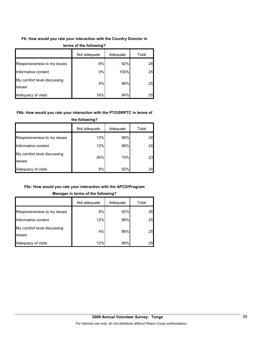### **F6: How would you rate your interaction with the Country Director in**

|                                              | Not adequate | Adequate | Total |
|----------------------------------------------|--------------|----------|-------|
| Responsiveness to my issues                  | 8%           | 92%      | 26    |
| Informative content                          | 0%           | 100%     | 25    |
| My comfort level discussing<br><b>issues</b> | 4%           | 96%      | 25    |
| Adequacy of visits                           | 16%          | 84%      | 25    |

#### **terms of the following?**

#### **F6b: How would you rate your interaction with the PTO/SRPTC in terms of**

|                                       | Not adequate | Adequate | Total |
|---------------------------------------|--------------|----------|-------|
| Responsiveness to my issues           | 12%          | 88%      | 24    |
| Informative content                   | 12%          | 88%      | 24    |
| My comfort level discussing<br>issues | 26%          | 74%      | 23    |
| Adequacy of visits                    | 8%           | 92%      | 24    |

#### **the following?**

#### **F6c: How would you rate your interaction with the APCD/Program**

#### **Manager in terms of the following?**

|                                       | Not adequate | Adequate | Total |
|---------------------------------------|--------------|----------|-------|
| Responsiveness to my issues           | 8%           | 92%      | 26    |
| Informative content                   | 12%          | 88%      | 25    |
| My comfort level discussing<br>issues | 4%           | 96%      | 25    |
| Adequacy of visits                    | 12%          | 88%      | 25    |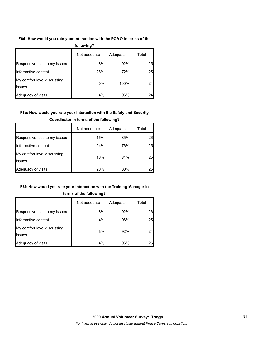### **F6d: How would you rate your interaction with the PCMO in terms of the**

| following?                            |              |          |       |  |
|---------------------------------------|--------------|----------|-------|--|
|                                       | Not adequate | Adequate | Total |  |
| Responsiveness to my issues           | 8%           | 92%      | 25    |  |
| Informative content                   | 28%          | 72%      | 25    |  |
| My comfort level discussing<br>issues | 0%           | 100%     | 24    |  |
| Adequacy of visits                    | 4%           | 96%      | 24    |  |

#### **F6e: How would you rate your interaction with the Safety and Security**

|                                       | Not adequate | Adequate | Total |
|---------------------------------------|--------------|----------|-------|
| Responsiveness to my issues           | 15%          | 85%      | 26    |
| Informative content                   | 24%          | 76%      | 25    |
| My comfort level discussing<br>issues | 16%          | 84%      | 25    |
| Adequacy of visits                    | 20%          | 80%      | 25    |

#### **Coordinator in terms of the following?**

#### **F6f: How would you rate your interaction with the Training Manager in**

|                                       | Not adequate | Adequate | Total |  |
|---------------------------------------|--------------|----------|-------|--|
| Responsiveness to my issues           | 8%           | 92%      | 26    |  |
| Informative content                   | 4%           | 96%      | 25    |  |
| My comfort level discussing<br>issues | 8%           | 92%      | 24    |  |
| Adequacy of visits                    | 4%           | 96%      | 25    |  |

#### **terms of the following?**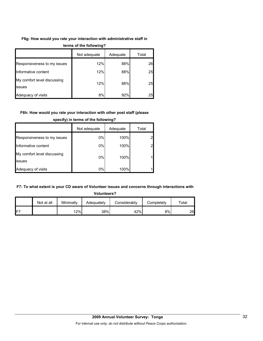#### **F6g: How would you rate your interaction with administrative staff in**

|                                       | Not adequate | Adequate | Total |
|---------------------------------------|--------------|----------|-------|
| Responsiveness to my issues           | 12%          | 88%      | 26    |
| Informative content                   | 12%          | 88%      | 25    |
| My comfort level discussing<br>issues | 12%          | 88%      | 25    |
| Adequacy of visits                    | 8%           | 92%      | 25    |

#### **terms of the following?**

#### **F6h: How would you rate your interaction with other post staff (please**

|                                       | Not adequate | Adequate | Total |
|---------------------------------------|--------------|----------|-------|
| Responsiveness to my issues           | 0%           | 100%     |       |
| Informative content                   | 0%           | 100%     |       |
| My comfort level discussing<br>issues | 0%           | 100%     |       |
| Adequacy of visits                    | 0%           | 100%     |       |

#### **specify) in terms of the following?**

#### **F7: To what extent is your CD aware of Volunteer issues and concerns through interactions with**

**Volunteers?** Not at all | Minimally | Adequately | Considerably | Completely | Total F7 12% 38% 42% 8% 26

## **2009 Annual Volunteer Survey: Tonga**  *For internal use only; do not distribute without Peace Corps authorization.*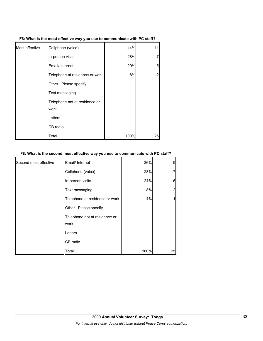| F8: What is the most effective way you use to communicate with PC staff? |
|--------------------------------------------------------------------------|
|                                                                          |

| Most effective | Cellphone (voice)                     | 44%  | 11 |
|----------------|---------------------------------------|------|----|
|                | In-person visits                      | 28%  | 7  |
|                | Email/ Internet                       | 20%  | 5  |
|                | Telephone at residence or work        | 8%   | 2  |
|                | Other. Please specify                 |      |    |
|                | Text messaging                        |      |    |
|                | Telephone not at residence or<br>work |      |    |
|                | Letters                               |      |    |
|                | CB radio                              |      |    |
|                | Total                                 | 100% | 25 |

#### **F8: What is the second most effective way you use to communicate with PC staff?**

| Second most effective | Email/ Internet                       | 36%  | 9  |
|-----------------------|---------------------------------------|------|----|
|                       | Cellphone (voice)                     | 28%  |    |
|                       | In-person visits                      | 24%  | 6  |
|                       | Text messaging                        | 8%   | 2  |
|                       | Telephone at residence or work        | 4%   |    |
|                       | Other. Please specify                 |      |    |
|                       | Telephone not at residence or<br>work |      |    |
|                       | Letters                               |      |    |
|                       | CB radio                              |      |    |
|                       | Total                                 | 100% | 25 |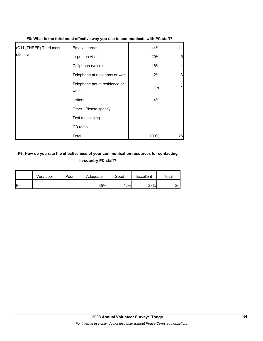| (C11_THREE) Third most | Email/ Internet                       | 44%  | 11 |
|------------------------|---------------------------------------|------|----|
| leffective             | In-person visits                      | 20%  | 5  |
|                        | Cellphone (voice)                     | 16%  |    |
|                        | Telephone at residence or work        | 12%  | 3  |
|                        | Telephone not at residence or<br>work | 4%   |    |
|                        | Letters                               | 4%   |    |
|                        | Other. Please specify                 |      |    |
|                        | Text messaging                        |      |    |
|                        | CB radio                              |      |    |
|                        | Total                                 | 100% | 25 |

#### **F8: What is the third most effective way you use to communicate with PC staff?**

## **F9: How do you rate the effectiveness of your communication resources for contacting in-country PC staff?**

|     | Very poor | Poor | Adequate | Good | Excellent | $\tau$ otal |
|-----|-----------|------|----------|------|-----------|-------------|
| IF9 |           |      | 35%      | 42%  | 23%       | 26          |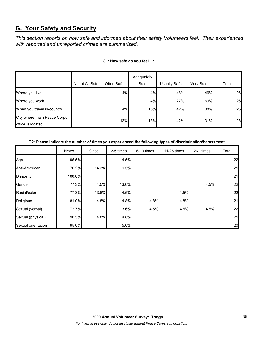## **G. Your Safety and Security**

*This section reports on how safe and informed about their safety Volunteers feel. Their experiences with reported and unreported crimes are summarized.* 

|                                                  | Not at All Safe | Often Safe | Adequately<br>Safe | <b>Usually Safe</b> | Very Safe | Total |
|--------------------------------------------------|-----------------|------------|--------------------|---------------------|-----------|-------|
| Where you live                                   |                 | 4%         | 4%                 | 46%                 | 46%       | 26    |
| Where you work                                   |                 |            | 4%                 | 27%                 | 69%       | 26    |
| When you travel in-country                       |                 | 4%         | 15%                | 42%                 | 38%       | 26    |
| City where main Peace Corps<br>office is located |                 | 12%        | 15%                | 42%                 | 31%       | 26    |

#### **G1: How safe do you feel...?**

#### **G2: Please indicate the number of times you experienced the following types of discrimination/harassment.**

|                    | Never  | Once  | 2-5 times | 6-10 times | 11-25 times | $26+$ times | Total |
|--------------------|--------|-------|-----------|------------|-------------|-------------|-------|
| Age                | 95.5%  |       | 4.5%      |            |             |             | 22    |
| Anti-American      | 76.2%  | 14.3% | 9.5%      |            |             |             | 21    |
| <b>Disability</b>  | 100.0% |       |           |            |             |             | 21    |
| Gender             | 77.3%  | 4.5%  | 13.6%     |            |             | 4.5%        | 22    |
| Racial/color       | 77.3%  | 13.6% | 4.5%      |            | 4.5%        |             | 22    |
| Religious          | 81.0%  | 4.8%  | 4.8%      | 4.8%       | 4.8%        |             | 21    |
| Sexual (verbal)    | 72.7%  |       | 13.6%     | 4.5%       | 4.5%        | 4.5%        | 22    |
| Sexual (physical)  | 90.5%  | 4.8%  | 4.8%      |            |             |             | 21    |
| Sexual orientation | 95.0%  |       | 5.0%      |            |             |             | 20    |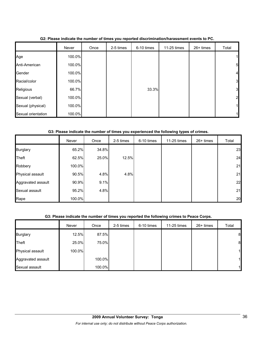|                    | Never  | Once | 2-5 times | 6-10 times | 11-25 times | 26+ times | Total          |
|--------------------|--------|------|-----------|------------|-------------|-----------|----------------|
| Age                | 100.0% |      |           |            |             |           | $\mathbf{1}$   |
| Anti-American      | 100.0% |      |           |            |             |           | 5              |
| Gender             | 100.0% |      |           |            |             |           | $\overline{4}$ |
| Racial/color       | 100.0% |      |           |            |             |           | 3              |
| Religious          | 66.7%  |      |           | 33.3%      |             |           | 3              |
| Sexual (verbal)    | 100.0% |      |           |            |             |           | 2              |
| Sexual (physical)  | 100.0% |      |           |            |             |           | 1              |
| Sexual orientation | 100.0% |      |           |            |             |           |                |

**G2: Please indicate the number of times you reported discrimination/harassment events to PC.**

### **G3: Please indicate the number of times you experienced the following types of crimes.**

|                    | Never  | Once  | 2-5 times | 6-10 times | 11-25 times | 26+ times | Total |
|--------------------|--------|-------|-----------|------------|-------------|-----------|-------|
| <b>Burglary</b>    | 65.2%  | 34.8% |           |            |             |           | 23    |
| Theft              | 62.5%  | 25.0% | 12.5%     |            |             |           | 24    |
| Robbery            | 100.0% |       |           |            |             |           | 21    |
| Physical assault   | 90.5%  | 4.8%  | 4.8%      |            |             |           | 21    |
| Aggravated assault | 90.9%  | 9.1%  |           |            |             |           | 22    |
| Sexual assault     | 95.2%  | 4.8%  |           |            |             |           | 21    |
| Rape               | 100.0% |       |           |            |             |           | 20    |

### **G3: Please indicate the number of times you reported the following crimes to Peace Corps.**

|                    | Never  | Once   | 2-5 times | 6-10 times | 11-25 times | 26+ times | Total |
|--------------------|--------|--------|-----------|------------|-------------|-----------|-------|
| <b>Burglary</b>    | 12.5%  | 87.5%  |           |            |             |           | 8     |
| Theft              | 25.0%  | 75.0%  |           |            |             |           | 8     |
| Physical assault   | 100.0% |        |           |            |             |           | 11    |
| Aggravated assault |        | 100.0% |           |            |             |           | 11    |
| Sexual assault     |        | 100.0% |           |            |             |           | 1     |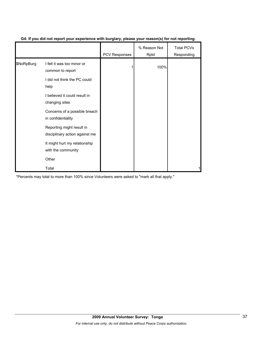|            |                                                             | PCV Responses | % Reason Not<br>Rptd | Total PCVs<br>Responding |
|------------|-------------------------------------------------------------|---------------|----------------------|--------------------------|
| \$NoRpBurg | I felt it was too minor or<br>common to report              |               | 100%                 |                          |
|            | I did not think the PC could<br>help                        |               |                      |                          |
|            | I believed it could result in<br>changing sites             |               |                      |                          |
|            | Concerns of a possible breach<br>in confidentiality         |               |                      |                          |
|            | Reporting might result in<br>disciplinary action against me |               |                      |                          |
|            | It might hurt my relationship<br>with the community         |               |                      |                          |
|            | Other                                                       |               |                      |                          |
|            | Total                                                       |               |                      |                          |

## **G4: If you did not report your experience with burglary, please your reason(s) for not reporting.**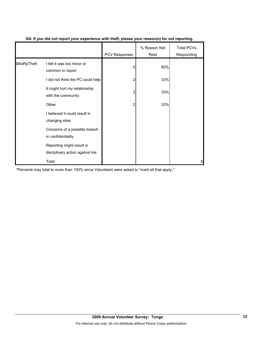|             |                                                             | PCV Responses | % Reason Not<br>Rptd | <b>Total PCVs</b><br>Responding |
|-------------|-------------------------------------------------------------|---------------|----------------------|---------------------------------|
| \$NoRpTheft | I felt it was too minor or<br>common to report              | 5             | 83%                  |                                 |
|             | I did not think the PC could help                           |               | 33%                  |                                 |
|             | It might hurt my relationship<br>with the community         | 2             | 33%                  |                                 |
|             | Other                                                       |               | 33%                  |                                 |
|             | I believed it could result in<br>changing sites             |               |                      |                                 |
|             | Concerns of a possible breach<br>in confidentiality         |               |                      |                                 |
|             | Reporting might result in<br>disciplinary action against me |               |                      |                                 |
|             | Total                                                       |               |                      | 6                               |

#### **G4: If you did not report your experience with theft, please your reason(s) for not reporting.**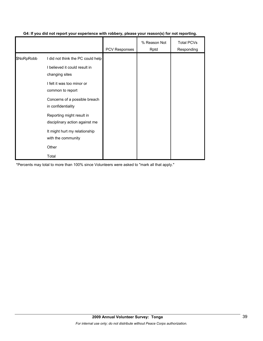|            |                                                             | <b>PCV Responses</b> | % Reason Not<br>Rptd | <b>Total PCVs</b><br>Responding |
|------------|-------------------------------------------------------------|----------------------|----------------------|---------------------------------|
| \$NoRpRobb | I did not think the PC could help                           |                      |                      |                                 |
|            | I believed it could result in<br>changing sites             |                      |                      |                                 |
|            | I felt it was too minor or<br>common to report              |                      |                      |                                 |
|            | Concerns of a possible breach<br>in confidentiality         |                      |                      |                                 |
|            | Reporting might result in<br>disciplinary action against me |                      |                      |                                 |
|            | It might hurt my relationship<br>with the community         |                      |                      |                                 |
|            | Other                                                       |                      |                      |                                 |
|            | Total                                                       |                      |                      |                                 |

## **G4: If you did not report your experience with robbery, please your reason(s) for not reporting.**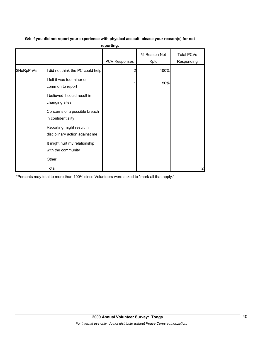| G4: If you did not report your experience with physical assault, please your reason(s) for not |  |
|------------------------------------------------------------------------------------------------|--|
|                                                                                                |  |

**reporting.**

|            |                                                             | PCV Responses | % Reason Not<br>Rptd | <b>Total PCVs</b><br>Responding |
|------------|-------------------------------------------------------------|---------------|----------------------|---------------------------------|
| \$NoRpPhAs | I did not think the PC could help                           |               | 100%                 |                                 |
|            | I felt it was too minor or<br>common to report              |               | 50%                  |                                 |
|            | I believed it could result in<br>changing sites             |               |                      |                                 |
|            | Concerns of a possible breach<br>in confidentiality         |               |                      |                                 |
|            | Reporting might result in<br>disciplinary action against me |               |                      |                                 |
|            | It might hurt my relationship<br>with the community         |               |                      |                                 |
|            | Other                                                       |               |                      |                                 |
|            | Total                                                       |               |                      | 2                               |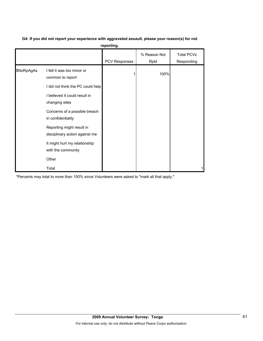| G4: If you did not report your experience with aggravated assault, please your reason(s) for not |
|--------------------------------------------------------------------------------------------------|
| reporting.                                                                                       |

|            |                                                             | .                    |                      |                                 |
|------------|-------------------------------------------------------------|----------------------|----------------------|---------------------------------|
|            |                                                             | <b>PCV Responses</b> | % Reason Not<br>Rptd | <b>Total PCVs</b><br>Responding |
| \$NoRpAgAs | I felt it was too minor or<br>common to report              |                      | 100%                 |                                 |
|            | I did not think the PC could help                           |                      |                      |                                 |
|            | I believed it could result in<br>changing sites             |                      |                      |                                 |
|            | Concerns of a possible breach<br>in confidentiality         |                      |                      |                                 |
|            | Reporting might result in<br>disciplinary action against me |                      |                      |                                 |
|            | It might hurt my relationship<br>with the community         |                      |                      |                                 |
|            | Other                                                       |                      |                      |                                 |
|            | Total                                                       |                      |                      |                                 |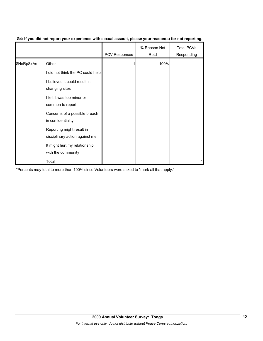|            |                                                             | <b>PCV Responses</b> | % Reason Not<br>Rptd | <b>Total PCVs</b><br>Responding |
|------------|-------------------------------------------------------------|----------------------|----------------------|---------------------------------|
| \$NoRpSxAs | Other                                                       |                      | 100%                 |                                 |
|            | I did not think the PC could help                           |                      |                      |                                 |
|            | I believed it could result in<br>changing sites             |                      |                      |                                 |
|            | I felt it was too minor or<br>common to report              |                      |                      |                                 |
|            | Concerns of a possible breach<br>in confidentiality         |                      |                      |                                 |
|            | Reporting might result in<br>disciplinary action against me |                      |                      |                                 |
|            | It might hurt my relationship<br>with the community         |                      |                      |                                 |
|            | Total                                                       |                      |                      |                                 |

#### **G4: If you did not report your experience with sexual assault, please your reason(s) for not reporting.**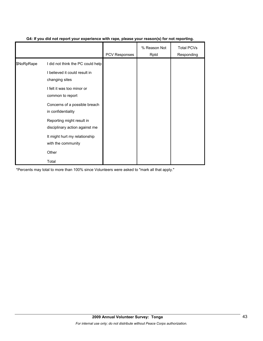|            |                                                             | <b>PCV Responses</b> | % Reason Not<br>Rptd | <b>Total PCVs</b><br>Responding |
|------------|-------------------------------------------------------------|----------------------|----------------------|---------------------------------|
| \$NoRpRape | I did not think the PC could help                           |                      |                      |                                 |
|            | I believed it could result in<br>changing sites             |                      |                      |                                 |
|            | I felt it was too minor or<br>common to report              |                      |                      |                                 |
|            | Concerns of a possible breach<br>in confidentiality         |                      |                      |                                 |
|            | Reporting might result in<br>disciplinary action against me |                      |                      |                                 |
|            | It might hurt my relationship<br>with the community         |                      |                      |                                 |
|            | Other                                                       |                      |                      |                                 |
|            | Total                                                       |                      |                      |                                 |

#### **G4: If you did not report your experience with rape, please your reason(s) for not reporting.**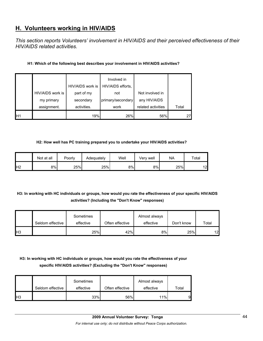## **H. Volunteers working in HIV/AIDS**

*This section reports Volunteers' involvement in HIV/AIDS and their perceived effectiveness of their HIV/AIDS related activities.* 

#### **H1: Which of the following best describes your involvement in HIV/AIDS activities?**

|     |                  |                  | Involved in       |                    |       |
|-----|------------------|------------------|-------------------|--------------------|-------|
|     |                  | HIV/AIDS work is | HIV/AIDS efforts, |                    |       |
|     | HIV/AIDS work is | part of my       | not               | Not involved in    |       |
|     | my primary       | secondary        | primary/secondary | any HIV/AIDS       |       |
|     | assignment.      | activities.      | work              | related activities | Total |
| IH1 |                  | 19%              | 26%               | 56%                |       |

#### **H2: How well has PC training prepared you to undertake your HIV/AIDS activities?**

|                | Not at all | Poorly | Adequately | Well | Verv well | <b>NA</b> | Total           |
|----------------|------------|--------|------------|------|-----------|-----------|-----------------|
| H <sub>2</sub> | 8%         | 25%    | 25%        | 8%   | 8%        | 25%       | 12 <sup>1</sup> |

## **H3: In working with HC individuals or groups, how would you rate the effectiveness of your specific HIV/AIDS activities? (Including the "Don't Know" responses)**

|                 |                  | Sometimes |                 | Almost always |            |                 |
|-----------------|------------------|-----------|-----------------|---------------|------------|-----------------|
|                 | Seldom effective | effective | Often effective | effective     | Don't know | Total           |
| IH <sub>3</sub> |                  | 25%       | 42%             | 8%I           | 25%        | 12 <sub>l</sub> |

## **H3: In working with HC individuals or groups, how would you rate the effectiveness of your specific HIV/AIDS activities? (Excluding the "Don't Know" responses)**

|            | Seldom effective | Sometimes<br>effective | Often effective | Almost always<br>effective | Total |
|------------|------------------|------------------------|-----------------|----------------------------|-------|
| <b>IH3</b> |                  | 33%                    | 56%             | $11\%$                     | 9     |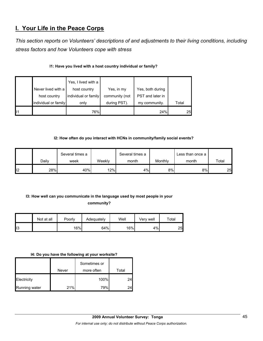## **I. Your Life in the Peace Corps**

*This section reports on Volunteers' descriptions of and adjustments to their living conditions, including stress factors and how Volunteers cope with stress* 

| I1: Have you lived with a host country individual or family? |  |  |  |  |  |  |  |
|--------------------------------------------------------------|--|--|--|--|--|--|--|
|--------------------------------------------------------------|--|--|--|--|--|--|--|

|                | Never lived with a<br>host country | Yes, I lived with a<br>host country<br>individual or family | Yes, in my<br>community (not | Yes, both during<br>PST and later in |       |
|----------------|------------------------------------|-------------------------------------------------------------|------------------------------|--------------------------------------|-------|
|                | individual or family               | only                                                        | during PST).                 | my community.                        | Total |
| $\blacksquare$ |                                    | 76%                                                         |                              | 24%                                  | 25    |

### **I2: How often do you interact with HCNs in community/family social events?**

|     | Several times a |      | Several times a |       | Less than once a |       |       |
|-----|-----------------|------|-----------------|-------|------------------|-------|-------|
|     | Daily           | week | Weekly          | month | Monthly          | month | Total |
| ll2 | 28%             | 40%  | 12%             | 4%    | 8%               | 8%    | 25    |

## **I3: How well can you communicate in the language used by most people in your**

**community?** 

|     | Not at all | Poorly | Adequately | Well | Verv well | Total |
|-----|------------|--------|------------|------|-----------|-------|
| ll3 |            | 16%    | 64%        | 16%  | 4%        | 25    |

#### **I4: Do you have the following at your worksite?**

|               | Never | Sometimes or<br>more often | Total |
|---------------|-------|----------------------------|-------|
| Electricity   |       | 100%                       | 24    |
| Running water | 21%   | 79%                        |       |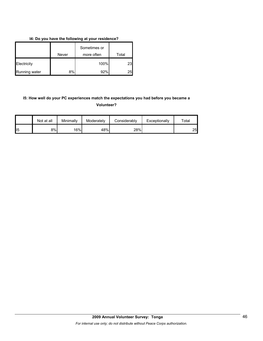## **I4: Do you have the following at your residence?**

|               | Never | Sometimes or<br>more often | Total |
|---------------|-------|----------------------------|-------|
| Electricity   |       | 100%                       | 23    |
| Running water | 8%    | 92%                        | 25    |

## **I5: How well do your PC experiences match the expectations you had before you became a Volunteer?**

|                | Not at all | Minimally | Moderately | Considerably | Exceptionally | $\tau$ otal |
|----------------|------------|-----------|------------|--------------|---------------|-------------|
| $\mathsf{II}5$ | 8%l        | 16%       | 48%        | 28%          |               | 25          |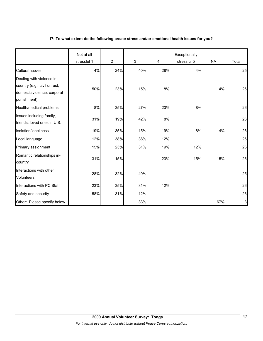## **I7: To what extent do the following create stress and/or emotional health issues for you?**

|                                                                                                        | Not at all<br>stressful 1 | 2   | 3   | 4     | Exceptionally<br>stressful 5 | <b>NA</b> | Total        |
|--------------------------------------------------------------------------------------------------------|---------------------------|-----|-----|-------|------------------------------|-----------|--------------|
| <b>Cultural issues</b>                                                                                 | 4%                        | 24% | 40% | 28%   | 4%                           |           | 25           |
| Dealing with violence in<br>country (e.g., civil unrest,<br>domestic violence, corporal<br>punishment) | 50%                       | 23% | 15% | 8%    |                              | 4%        | 26           |
| Health/medical problems                                                                                | 8%                        | 35% | 27% | 23%   | 8%                           |           | 26           |
| Issues including family,<br>friends, loved ones in U.S.                                                | 31%                       | 19% | 42% | $8\%$ |                              |           | 26           |
| Isolation/loneliness                                                                                   | 19%                       | 35% | 15% | 19%   | 8%                           | 4%        | 26           |
| Local language                                                                                         | 12%                       | 38% | 38% | 12%   |                              |           | 26           |
| Primary assignment                                                                                     | 15%                       | 23% | 31% | 19%   | 12%                          |           | 26           |
| Romantic relationships in-<br>country                                                                  | 31%                       | 15% |     | 23%   | 15%                          | 15%       | 26           |
| Interactions with other<br><b>Volunteers</b>                                                           | 28%                       | 32% | 40% |       |                              |           | 25           |
| Interactions with PC Staff                                                                             | 23%                       | 35% | 31% | 12%   |                              |           | 26           |
| Safety and security                                                                                    | 58%                       | 31% | 12% |       |                              |           | 26           |
| Other: Please specify below                                                                            |                           |     | 33% |       |                              | 67%       | $\mathbf{3}$ |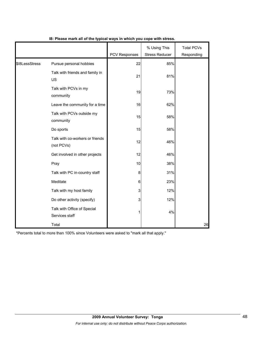|                |                                               | <b>PCV Responses</b> | % Using This<br><b>Stress Reducer</b> | <b>Total PCVs</b><br>Responding |
|----------------|-----------------------------------------------|----------------------|---------------------------------------|---------------------------------|
| \$I8LessStress | Pursue personal hobbies                       | 22                   | 85%                                   |                                 |
|                | Talk with friends and family in<br>US         | 21                   | 81%                                   |                                 |
|                | Talk with PCVs in my<br>community             | 19                   | 73%                                   |                                 |
|                | Leave the community for a time                | 16                   | 62%                                   |                                 |
|                | Talk with PCVs outside my<br>community        | 15                   | 58%                                   |                                 |
|                | Do sports                                     | 15                   | 58%                                   |                                 |
|                | Talk with co-workers or friends<br>(not PCVs) | 12                   | 46%                                   |                                 |
|                | Get involved in other projects                | 12                   | 46%                                   |                                 |
|                | Pray                                          | 10                   | 38%                                   |                                 |
|                | Talk with PC in-country staff                 | 8                    | 31%                                   |                                 |
|                | Meditate                                      | 6                    | 23%                                   |                                 |
|                | Talk with my host family                      | 3                    | 12%                                   |                                 |
|                | Do other activity (specify)                   | 3                    | 12%                                   |                                 |
|                | Talk with Office of Special<br>Services staff |                      | 4%                                    |                                 |
|                | Total                                         |                      |                                       | 26                              |

#### **I8: Please mark all of the typical ways in which you cope with stress.**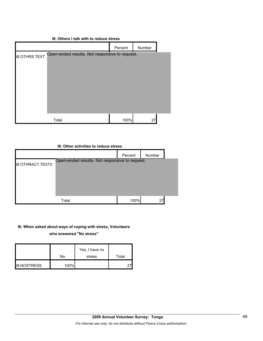#### **I8: Others I talk with to reduce stress**

|                      |                                                | Percent | Number |  |
|----------------------|------------------------------------------------|---------|--------|--|
| <b>I8.OTHRS.TEXT</b> | Open-ended results. Not responsive to request. |         |        |  |
|                      |                                                |         |        |  |
|                      |                                                |         |        |  |
|                      |                                                |         |        |  |
|                      |                                                |         |        |  |
|                      |                                                |         |        |  |
|                      |                                                |         |        |  |
|                      | Total                                          | 100%    | 27     |  |



#### **I8: When asked about ways of coping with stress, Volunteers**

**who answered "No stress"** 

|                    | No   | Yes, I have no<br>stress | Total |
|--------------------|------|--------------------------|-------|
| <b>I8.NOSTRESS</b> | 100% |                          |       |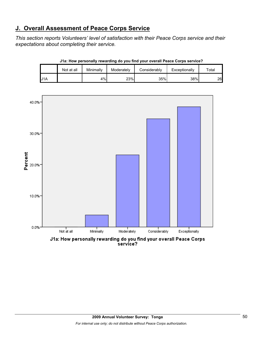## **J. Overall Assessment of Peace Corps Service**

*This section reports Volunteers' level of satisfaction with their Peace Corps service and their expectations about completing their service.* 

|     | Not at all | Minimally | Moderately | Considerably | Exceptionally | ™otal |
|-----|------------|-----------|------------|--------------|---------------|-------|
| '1A |            | 4%        | 23%        | 35%          | 38%           | 26    |





service?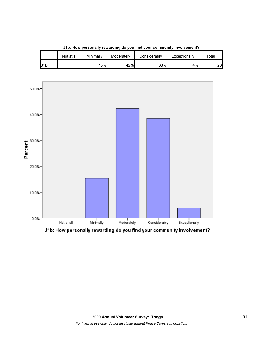

**J1b: How personally rewarding do you find your community involvement?**

J1B | | 15% 42% 38% 4% 26

Not at all | Minimally | Moderately | Considerably | Exceptionally | Total

J1b: How personally rewarding do you find your community involvement?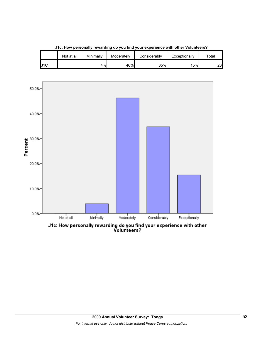

**J1c: How personally rewarding do you find your experience with other Volunteers?**

J1C | | 4% 46% 35% 15% 26

Not at all | Minimally | Moderately | Considerably | Exceptionally | Total

J1c: How personally rewarding do you find your experience with other<br>Volunteers?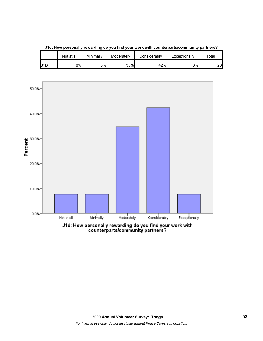

**J1d: How personally rewarding do you find your work with counterparts/community partners?**

Not at all | Minimally | Moderately | Considerably | Exceptionally | Total

J1d: How personally rewarding do you find your work with<br>counterparts/community partners?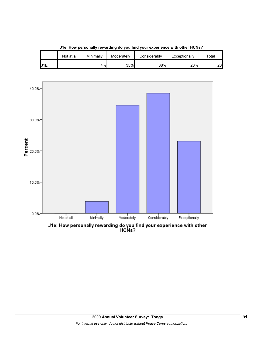

| J1e: How personally rewarding do you find your experience with other HCNs? |  |  |
|----------------------------------------------------------------------------|--|--|
|                                                                            |  |  |

Not at all | Minimally | Moderately | Considerably | Exceptionally | Total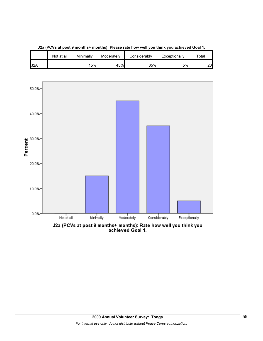

**J2a (PCVs at post 9 months+ months): Please rate how well you think you achieved Goal 1.**

J2a (PCVs at post 9 months+ months): Rate how well you think you<br>achieved Goal 1.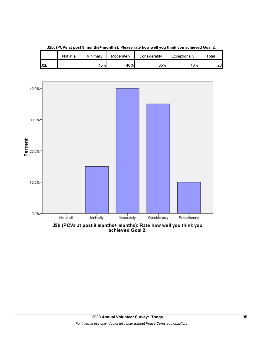

**J2b: (PCVs at post 9 months+ months): Please rate how well you think you achieved Goal 2.**

Not at all | Minimally | Moderately | Considerably | Exceptionally | Total

J2b (PCVs at post 9 months+ months): Rate how well you think you<br>achieved Goal 2.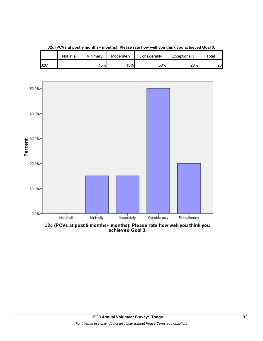

**J2c (PCVs at post 9 months+ months): Please rate how well you think you achieved Goal 3.**

J2c (PCVs at post 9 months+ months): Please rate how well you think you<br>achieved Goal 3.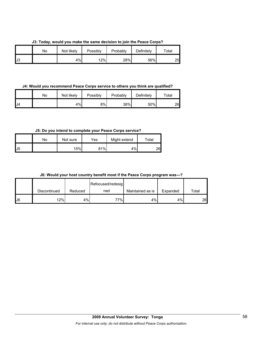**J3: Today, would you make the same decision to join the Peace Corps?**

|     | No | Not likely | Possibly | Probably | Definitely | Total |
|-----|----|------------|----------|----------|------------|-------|
| IJ3 |    | 4%         | 12%      | 28%      | 56%        | 25    |

#### **J4: Would you recommend Peace Corps service to others you think are qualified?**

|     | No | Not likely | Possibly | Probably | Definitely | $\tau$ otal |
|-----|----|------------|----------|----------|------------|-------------|
| IJ4 |    | 4%         | 8%       | 38%      | 50%        | 26          |

### **J5: Do you intend to complete your Peace Corps service?**

|                | No | Not sure | Yes | Might extend | Total |
|----------------|----|----------|-----|--------------|-------|
| J <sub>5</sub> |    | 15%      | 81% | 4%           | 26    |

#### **J6: Would your host country benefit most if the Peace Corps program was---?**

|    |              |         | Refocused/redesig |                  |          |       |
|----|--------------|---------|-------------------|------------------|----------|-------|
|    | Discontinued | Reduced | ned               | Maintained as is | Expanded | Total |
| J6 | 12%          | 4%      | י%ד               | 4%               | 4%       | 26    |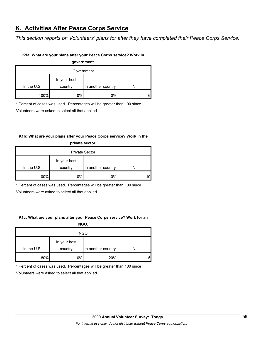## **K. Activities After Peace Corps Service**

*This section reports on Volunteers' plans for after they have completed their Peace Corps Service.* 

#### **K1a: What are your plans after your Peace Corps service? Work in**

**government.**

| Government    |                         |                    |   |  |
|---------------|-------------------------|--------------------|---|--|
| In the $U.S.$ | In your host<br>country | In another country |   |  |
|               |                         |                    |   |  |
| 100%          | 0%                      | 0%                 | 6 |  |

\* Percent of cases was used. Percentages will be greater than 100 since

Volunteers were asked to select all that applied.

## **K1b: What are your plans after your Peace Corps service? Work in the private sector.**

| <b>Private Sector</b> |              |                    |  |  |
|-----------------------|--------------|--------------------|--|--|
|                       | In your host |                    |  |  |
| In the $U.S.$         | country      | In another country |  |  |
| 100%                  | $0\%$        | 0%                 |  |  |

\* Percent of cases was used. Percentages will be greater than 100 since

Volunteers were asked to select all that applied.

#### **K1c: What are your plans after your Peace Corps service? Work for an**

**NGO.**

| <b>NGO</b>  |                         |                    |   |  |
|-------------|-------------------------|--------------------|---|--|
| In the U.S. | In your host<br>country | In another country |   |  |
| 80%         | 0%                      | 20%                | 5 |  |

\* Percent of cases was used. Percentages will be greater than 100 since

Volunteers were asked to select all that applied.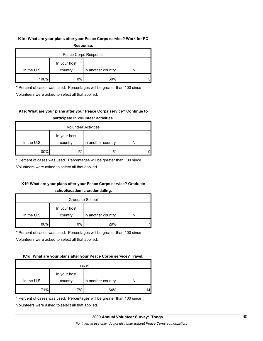#### **K1d: What are your plans after your Peace Corps service? Work for PC**

| Response.            |              |                    |   |
|----------------------|--------------|--------------------|---|
| Peace Corps Response |              |                    |   |
|                      | In your host |                    |   |
| In the $U.S.$        | country      | In another country |   |
| 100%                 | 0%           | 60%                | 5 |

\* Percent of cases was used. Percentages will be greater than 100 since

Volunteers were asked to select all that applied.

## **K1e: What are your plans after your Peace Corps service? Continue to participate in volunteer activities.**

| <b>Volunteer Activities</b> |              |                    |   |  |
|-----------------------------|--------------|--------------------|---|--|
|                             | In your host |                    |   |  |
| In the $U.S.$               | country      | In another country |   |  |
| 100%                        | 11%          | 11%                | 9 |  |

\* Percent of cases was used. Percentages will be greater than 100 since

Volunteers were asked to select all that applied.

## **K1f: What are your plans after your Peace Corps service? Graduate**

#### **school/academic credentialing.**

| Graduate School |              |                    |  |  |
|-----------------|--------------|--------------------|--|--|
|                 | In your host |                    |  |  |
| In the $U.S.$   | country      | In another country |  |  |
| 86%             | $0\%$        | 29%                |  |  |

\* Percent of cases was used. Percentages will be greater than 100 since

Volunteers were asked to select all that applied.

#### **K1g: What are your plans after your Peace Corps service? Travel.**

| Travel      |              |                    |    |  |
|-------------|--------------|--------------------|----|--|
|             | In your host |                    |    |  |
| In the U.S. | country      | In another country |    |  |
| 71%         | $7\%$        | 64%                | 14 |  |

\* Percent of cases was used. Percentages will be greater than 100 since

Volunteers were asked to select all that applied.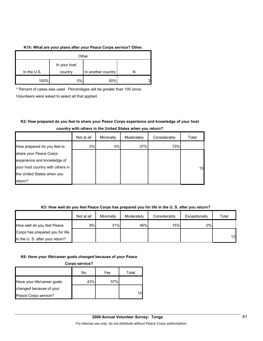#### **K1h: What are your plans after your Peace Corps service? Other.**

| Other         |              |                    |   |  |
|---------------|--------------|--------------------|---|--|
|               | In your host |                    |   |  |
| In the $U.S.$ | country      | In another country |   |  |
| 100%          | 0%l          | 50%                | ◠ |  |

\* Percent of cases was used. Percentages will be greater than 100 since Volunteers were asked to select all that applied.

## **K2: How prepared do you feel to share your Peace Corps experience and knowledge of your host country with others in the United States when you return?**

|                                  | Not at all | Minimally | Moderately | Considerably | Total |
|----------------------------------|------------|-----------|------------|--------------|-------|
| How prepared do you feel to      | 0%         | 0%        | 27%        | 73%          |       |
| share your Peace Corps           |            |           |            |              |       |
| experience and knowledge of      |            |           |            |              |       |
| your host country with others in |            |           |            |              | 15    |
| the United States when you       |            |           |            |              |       |
| return?                          |            |           |            |              |       |

#### **K3: How well do you feel Peace Corps has prepared you for life in the U. S. after you return?**

|                                 | Not at all | Minimally | Moderately | Considerably | Exceptionally | Total |
|---------------------------------|------------|-----------|------------|--------------|---------------|-------|
| How well do you feel Peace      | 8%l        | 31%       | 46%        | 15%          | 0%            |       |
| Corps has prepared you for life |            |           |            |              |               |       |
| in the U.S. after your return?  |            |           |            |              |               | 13    |

#### **K6: Have your life/career goals changed because of your Peace**

**Corps service?**

|                             | No  | Yes | Total |
|-----------------------------|-----|-----|-------|
| Have your life/career goals | 43% | 57% |       |
| changed because of your     |     |     |       |
| Peace Corps service?        |     |     |       |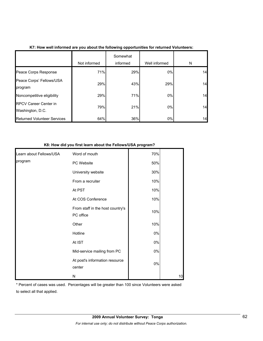|                                                  | Not informed | Somewhat<br>informed | Well informed | N  |
|--------------------------------------------------|--------------|----------------------|---------------|----|
| Peace Corps Response                             | 71%          | 29%                  | 0%            | 14 |
| Peace Corps' Fellows/USA<br>program              | 29%          | 43%                  | 29%           | 14 |
| Noncompetitive eligibility                       | 29%          | 71%                  | 0%            | 14 |
| <b>RPCV Career Center in</b><br>Washington, D.C. | 79%          | 21%                  | 0%            | 14 |
| <b>Returned Volunteer Services</b>               | 64%          | 36%                  | 0%            | 14 |

#### **K8: How did you first learn about the Fellows/USA program?**

| Learn about Fellows/USA | Word of mouth                                 | 70%   |    |
|-------------------------|-----------------------------------------------|-------|----|
| program                 | PC Website                                    | 50%   |    |
|                         | University website                            | 30%   |    |
|                         | From a recruiter                              | 10%   |    |
|                         | At PST                                        | 10%   |    |
|                         | At COS Conference                             | 10%   |    |
|                         | From staff in the host country's<br>PC office | 10%   |    |
|                         | Other                                         | 10%   |    |
|                         | Hotline                                       | $0\%$ |    |
|                         | At IST                                        | $0\%$ |    |
|                         | Mid-service mailing from PC                   | 0%    |    |
|                         | At post's information resource<br>center      | 0%    |    |
|                         | N                                             |       | 10 |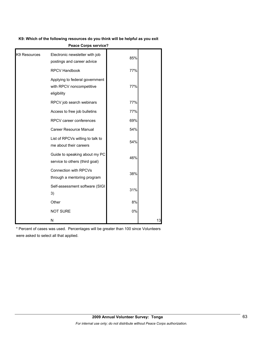#### **K9: Which of the following resources do you think will be helpful as you exit**

| K9 Resources | Electronic newsletter with job<br>postings and career advice              | 85% |    |
|--------------|---------------------------------------------------------------------------|-----|----|
|              | <b>RPCV Handbook</b>                                                      | 77% |    |
|              | Applying to federal government<br>with RPCV noncompetitive<br>eligibility | 77% |    |
|              | RPCV job search webinars                                                  | 77% |    |
|              | Access to free job bulletins                                              | 77% |    |
|              | RPCV career conferences                                                   | 69% |    |
|              | Career Resource Manual                                                    | 54% |    |
|              | List of RPCVs willing to talk to<br>me about their careers                | 54% |    |
|              | Guide to speaking about my PC<br>service to others (third goal)           | 46% |    |
|              | <b>Connection with RPCVs</b><br>through a mentoring program               | 38% |    |
|              | Self-assessment software (SIGI<br>3)                                      | 31% |    |
|              | Other                                                                     | 8%  |    |
|              | <b>NOT SURE</b>                                                           | 0%  |    |
|              | N                                                                         |     | 13 |

**Peace Corps service?**